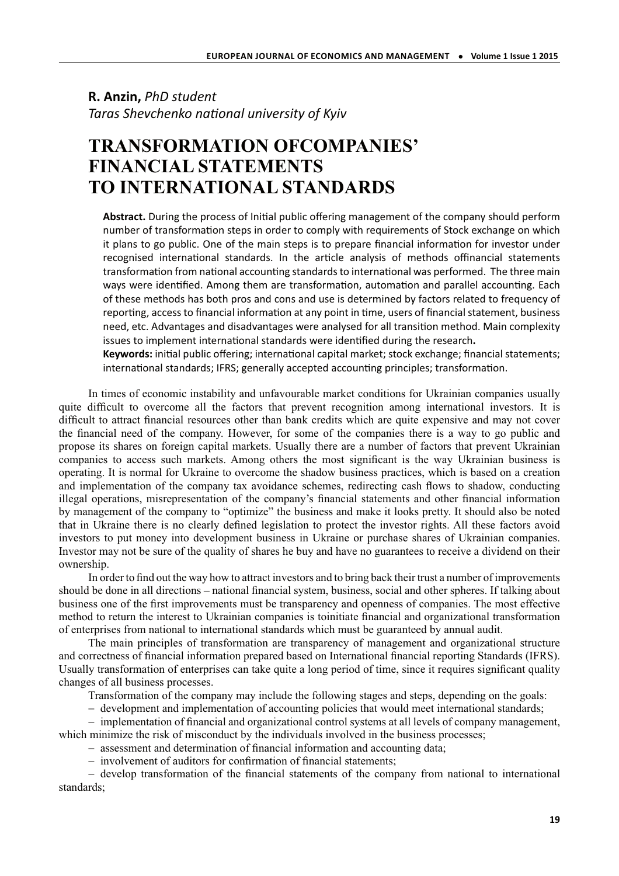## **R. Anzin,** *PhD student* **Taras Shevchenko national university of Kyiv**

## **TRANSFORMATION OFCOMPANIES' FINANCIAL STATEMENTS TO INTERNATIONAL STANDARDS**

Abstract. During the process of Initial public offering management of the company should perform number of transformation steps in order to comply with requirements of Stock exchange on which it plans to go public. One of the main steps is to prepare financial information for investor under recognised international standards. In the article analysis of methods offinancial statements transformation from national accounting standards to international was performed. The three main ways were identified. Among them are transformation, automation and parallel accounting. Each of these methods has both pros and cons and use is determined by factors related to frequency of reporting, access to financial information at any point in time, users of financial statement, business need, etc. Advantages and disadvantages were analysed for all transition method. Main complexity issues to implement international standards were identified during the research.

Keywords: initial public offering; international capital market; stock exchange; financial statements; international standards; IFRS; generally accepted accounting principles; transformation.

In times of economic instability and unfavourable market conditions for Ukrainian companies usually quite difficult to overcome all the factors that prevent recognition among international investors. It is difficult to attract financial resources other than bank credits which are quite expensive and may not cover the financial need of the company. However, for some of the companies there is a way to go public and propose its shares on foreign capital markets. Usually there are a number of factors that prevent Ukrainian companies to access such markets. Among others the most significant is the way Ukrainian business is operating. It is normal for Ukraine to overcome the shadow business practices, which is based on a creation and implementation of the company tax avoidance schemes, redirecting cash flows to shadow, conducting illegal operations, misrepresentation of the company's financial statements and other financial information by management of the company to "optimize" the business and make it looks pretty. It should also be noted that in Ukraine there is no clearly defined legislation to protect the investor rights. All these factors avoid investors to put money into development business in Ukraine or purchase shares of Ukrainian companies. Investor may not be sure of the quality of shares he buy and have no guarantees to receive a dividend on their ownership.

In order to find out the way how to attract investors and to bring back their trust a number of improvements should be done in all directions – national financial system, business, social and other spheres. If talking about business one of the first improvements must be transparency and openness of companies. The most effective method to return the interest to Ukrainian companies is toinitiate financial and organizational transformation of enterprises from national to international standards which must be guaranteed by annual audit.

The main principles of transformation are transparency of management and organizational structure and correctness of financial information prepared based on International financial reporting Standards (IFRS). Usually transformation of enterprises can take quite a long period of time, since it requires significant quality changes of all business processes.

Transformation of the company may include the following stages and steps, depending on the goals:

− development and implementation of accounting policies that would meet international standards;

− implementation of financial and organizational control systems at all levels of company management,

which minimize the risk of misconduct by the individuals involved in the business processes;

− assessment and determination of financial information and accounting data;

− involvement of auditors for confirmation of financial statements;

− develop transformation of the financial statements of the company from national to international standards;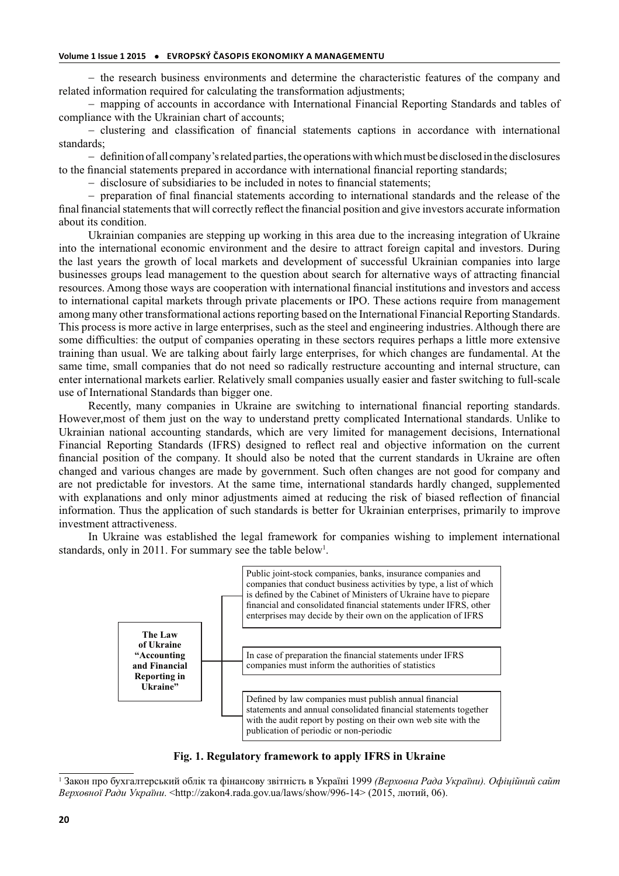− the research business environments and determine the characteristic features of the company and related information required for calculating the transformation adjustments;

− mapping of accounts in accordance with International Financial Reporting Standards and tables of compliance with the Ukrainian chart of accounts;

− clustering and classification of financial statements captions in accordance with international standards;

− definition of all company's related parties, the operations with which must be disclosed in the disclosures to the financial statements prepared in accordance with international financial reporting standards;

− disclosure of subsidiaries to be included in notes to financial statements;

− preparation of final financial statements according to international standards and the release of the final financial statements that will correctly reflect the financial position and give investors accurate information about its condition.

Ukrainian companies are stepping up working in this area due to the increasing integration of Ukraine into the international economic environment and the desire to attract foreign capital and investors. During the last years the growth of local markets and development of successful Ukrainian companies into large businesses groups lead management to the question about search for alternative ways of attracting financial resources. Among those ways are cooperation with international financial institutions and investors and access to international capital markets through private placements or IPO. These actions require from management among many other transformational actions reporting based on the International Financial Reporting Standards. This process is more active in large enterprises, such as the steel and engineering industries. Although there are some difficulties: the output of companies operating in these sectors requires perhaps a little more extensive training than usual. We are talking about fairly large enterprises, for which changes are fundamental. At the same time, small companies that do not need so radically restructure accounting and internal structure, can enter international markets earlier. Relatively small companies usually easier and faster switching to full-scale use of International Standards than bigger one.

Recently, many companies in Ukraine are switching to international financial reporting standards. However,most of them just on the way to understand pretty complicated International standards. Unlike to Ukrainian national accounting standards, which are very limited for management decisions, International Financial Reporting Standards (IFRS) designed to reflect real and objective information on the current financial position of the company. It should also be noted that the current standards in Ukraine are often changed and various changes are made by government. Such often changes are not good for company and are not predictable for investors. At the same time, international standards hardly changed, supplemented with explanations and only minor adjustments aimed at reducing the risk of biased reflection of financial information. Thus the application of such standards is better for Ukrainian enterprises, primarily to improve investment attractiveness.

In Ukraine was established the legal framework for companies wishing to implement international standards, only in 2011. For summary see the table below<sup>1</sup>.



**Fig. 1. Regulatory framework to apply IFRS in Ukraine**

<sup>1</sup> Закон про бухгалтерський облік та фінансову звітність в Україні 1999 *(Верховна Рада України). Офіційний сайт Верховної Ради України*. <http://zakon4.rada.gov.ua/laws/show/996-14> (2015, лютий, 06).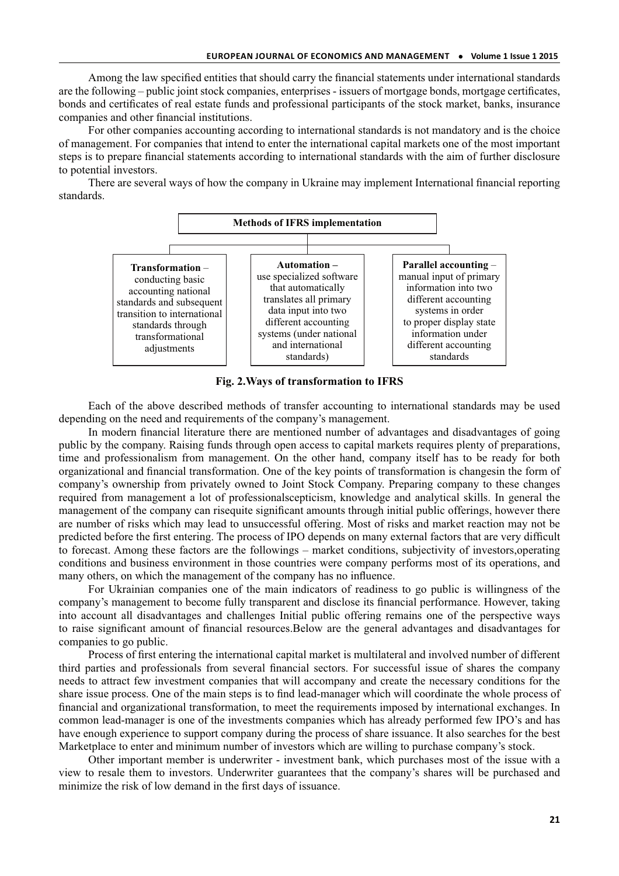Among the law specified entities that should carry the financial statements under international standards are the following – public joint stock companies, enterprises - issuers of mortgage bonds, mortgage certificates, bonds and certificates of real estate funds and professional participants of the stock market, banks, insurance companies and other financial institutions.

For other companies accounting according to international standards is not mandatory and is the choice of management. For companies that intend to enter the international capital markets one of the most important steps is to prepare financial statements according to international standards with the aim of further disclosure to potential investors.

There are several ways of how the company in Ukraine may implement International financial reporting standards.



**Fig. 2.Ways of transformation to IFRS** 

Each of the above described methods of transfer accounting to international standards may be used depending on the need and requirements of the company's management.

In modern financial literature there are mentioned number of advantages and disadvantages of going public by the company. Raising funds through open access to capital markets requires plenty of preparations, time and professionalism from management. On the other hand, company itself has to be ready for both organizational and financial transformation. One of the key points of transformation is changesin the form of company's ownership from privately owned to Joint Stock Company. Preparing company to these changes required from management a lot of professionalscepticism, knowledge and analytical skills. In general the management of the company can risequite significant amounts through initial public offerings, however there are number of risks which may lead to unsuccessful offering. Most of risks and market reaction may not be predicted before the first entering. The process of IPO depends on many external factors that are very difficult to forecast. Among these factors are the followings – market conditions, subjectivity of investors,operating conditions and business environment in those countries were company performs most of its operations, and many others, on which the management of the company has no influence.

For Ukrainian companies one of the main indicators of readiness to go public is willingness of the company's management to become fully transparent and disclose its financial performance. However, taking into account all disadvantages and challenges Initial public offering remains one of the perspective ways to raise significant amount of financial resources.Below are the general advantages and disadvantages for companies to go public.

Process of first entering the international capital market is multilateral and involved number of different third parties and professionals from several financial sectors. For successful issue of shares the company needs to attract few investment companies that will accompany and create the necessary conditions for the share issue process. One of the main steps is to find lead-manager which will coordinate the whole process of financial and organizational transformation, to meet the requirements imposed by international exchanges. In common lead-manager is one of the investments companies which has already performed few IPO's and has have enough experience to support company during the process of share issuance. It also searches for the best Marketplace to enter and minimum number of investors which are willing to purchase company's stock.

Other important member is underwriter - investment bank, which purchases most of the issue with a view to resale them to investors. Underwriter guarantees that the company's shares will be purchased and minimize the risk of low demand in the first days of issuance.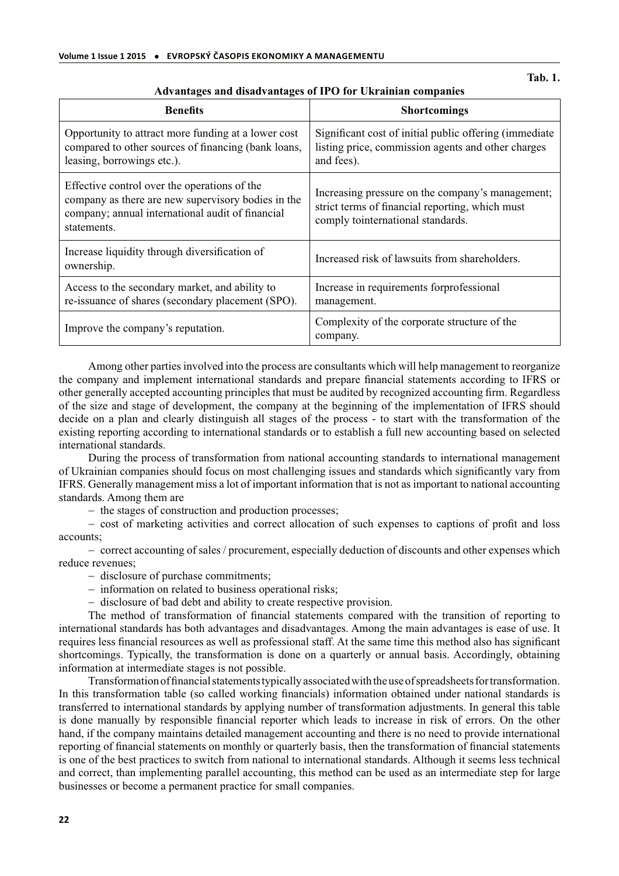| <b>Benefits</b>                                                                                                                                                       | <b>Shortcomings</b>                                                                                                                          |
|-----------------------------------------------------------------------------------------------------------------------------------------------------------------------|----------------------------------------------------------------------------------------------------------------------------------------------|
| Opportunity to attract more funding at a lower cost<br>compared to other sources of financing (bank loans,<br>leasing, borrowings etc.).                              | Significant cost of initial public offering (immediate)<br>listing price, commission agents and other charges<br>and fees).                  |
| Effective control over the operations of the<br>company as there are new supervisory bodies in the<br>company; annual international audit of financial<br>statements. | Increasing pressure on the company's management;<br>strict terms of financial reporting, which must<br>comply to<br>international standards. |
| Increase liquidity through diversification of<br>ownership.                                                                                                           | Increased risk of lawsuits from shareholders.                                                                                                |
| Access to the secondary market, and ability to<br>re-issuance of shares (secondary placement (SPO).                                                                   | Increase in requirements forprofessional<br>management.                                                                                      |
| Improve the company's reputation.                                                                                                                                     | Complexity of the corporate structure of the<br>company.                                                                                     |

## **Advantages and disadvantages of IPO for Ukrainian companies**

Among other parties involved into the process are consultants which will help management to reorganize the company and implement international standards and prepare financial statements according to IFRS or other generally accepted accounting principles that must be audited by recognized accounting firm. Regardless of the size and stage of development, the company at the beginning of the implementation of IFRS should decide on a plan and clearly distinguish all stages of the process - to start with the transformation of the existing reporting according to international standards or to establish a full new accounting based on selected international standards.

During the process of transformation from national accounting standards to international management of Ukrainian companies should focus on most challenging issues and standards which significantly vary from IFRS. Generally management miss a lot of important information that is not as important to national accounting standards. Among them are

− the stages of construction and production processes;

− cost of marketing activities and correct allocation of such expenses to captions of profit and loss accounts;

− correct accounting of sales / procurement, especially deduction of discounts and other expenses which reduce revenues;

- − disclosure of purchase commitments;
- − information on related to business operational risks;
- − disclosure of bad debt and ability to create respective provision.

The method of transformation of financial statements compared with the transition of reporting to international standards has both advantages and disadvantages. Among the main advantages is ease of use. It requires less financial resources as well as professional staff. At the same time this method also has significant shortcomings. Typically, the transformation is done on a quarterly or annual basis. Accordingly, obtaining information at intermediate stages is not possible.

Transformation of financial statements typically associated with the use of spreadsheets for transformation. In this transformation table (so called working financials) information obtained under national standards is transferred to international standards by applying number of transformation adjustments. In general this table is done manually by responsible financial reporter which leads to increase in risk of errors. On the other hand, if the company maintains detailed management accounting and there is no need to provide international reporting of financial statements on monthly or quarterly basis, then the transformation of financial statements is one of the best practices to switch from national to international standards. Although it seems less technical and correct, than implementing parallel accounting, this method can be used as an intermediate step for large businesses or become a permanent practice for small companies.